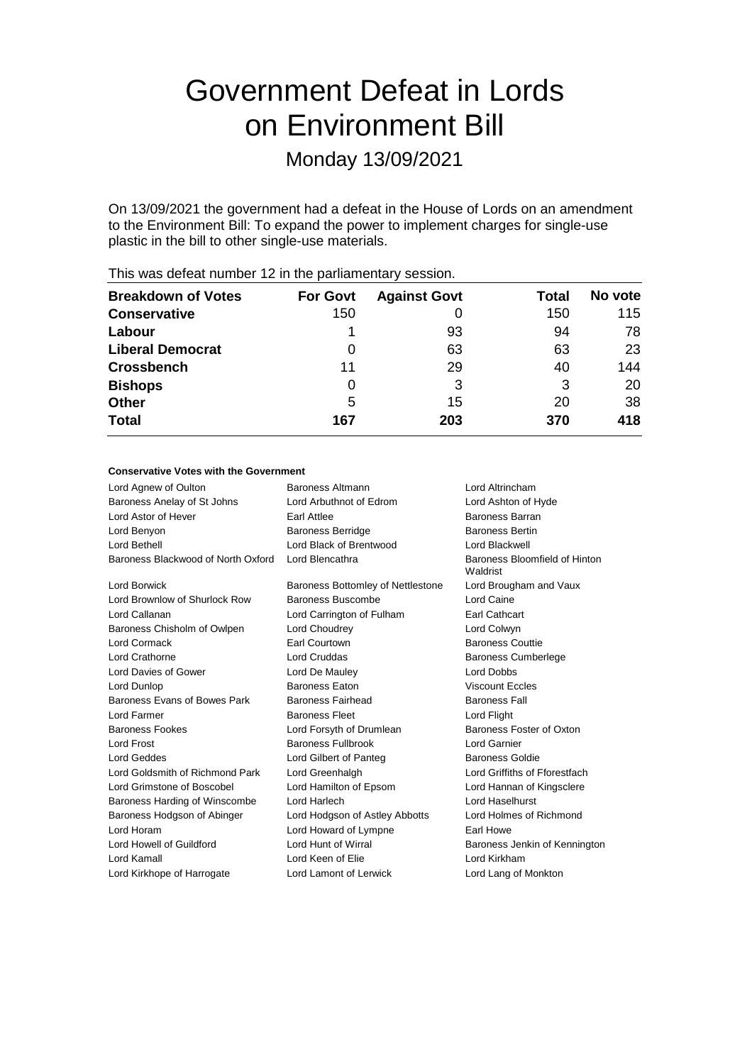# Government Defeat in Lords on Environment Bill

Monday 13/09/2021

On 13/09/2021 the government had a defeat in the House of Lords on an amendment to the Environment Bill: To expand the power to implement charges for single-use plastic in the bill to other single-use materials.

| <b>Breakdown of Votes</b> | <b>For Govt</b> | <b>Against Govt</b> | Total | No vote |
|---------------------------|-----------------|---------------------|-------|---------|
| <b>Conservative</b>       | 150             |                     | 150   | 115     |
| Labour                    |                 | 93                  | 94    | 78      |
| <b>Liberal Democrat</b>   | 0               | 63                  | 63    | 23      |
| <b>Crossbench</b>         | 11              | 29                  | 40    | 144     |
| <b>Bishops</b>            | 0               | 3                   | 3     | 20      |
| <b>Other</b>              | 5               | 15                  | 20    | 38      |
| <b>Total</b>              | 167             | 203                 | 370   | 418     |
|                           |                 |                     |       |         |

This was defeat number 12 in the parliamentary session.

#### **Conservative Votes with the Government**

| Lord Agnew of Oulton               | Baroness Altmann                  | Lord Altrincham                           |
|------------------------------------|-----------------------------------|-------------------------------------------|
| Baroness Anelay of St Johns        | Lord Arbuthnot of Edrom           | Lord Ashton of Hyde                       |
| Lord Astor of Hever                | Earl Attlee                       | <b>Baroness Barran</b>                    |
| Lord Benyon                        | <b>Baroness Berridge</b>          | <b>Baroness Bertin</b>                    |
| Lord Bethell                       | Lord Black of Brentwood           | Lord Blackwell                            |
| Baroness Blackwood of North Oxford | Lord Blencathra                   | Baroness Bloomfield of Hinton<br>Waldrist |
| Lord Borwick                       | Baroness Bottomley of Nettlestone | Lord Brougham and Vaux                    |
| Lord Brownlow of Shurlock Row      | Baroness Buscombe                 | Lord Caine                                |
| Lord Callanan                      | Lord Carrington of Fulham         | Earl Cathcart                             |
| Baroness Chisholm of Owlpen        | Lord Choudrey                     | Lord Colwyn                               |
| Lord Cormack                       | Earl Courtown                     | <b>Baroness Couttie</b>                   |
| <b>Lord Crathorne</b>              | <b>Lord Cruddas</b>               | <b>Baroness Cumberlege</b>                |
| Lord Davies of Gower               | Lord De Mauley                    | Lord Dobbs                                |
| Lord Dunlop                        | <b>Baroness Eaton</b>             | <b>Viscount Eccles</b>                    |
| Baroness Evans of Bowes Park       | Baroness Fairhead                 | <b>Baroness Fall</b>                      |
| Lord Farmer                        | <b>Baroness Fleet</b>             | Lord Flight                               |
| <b>Baroness Fookes</b>             | Lord Forsyth of Drumlean          | Baroness Foster of Oxton                  |
| Lord Frost                         | <b>Baroness Fullbrook</b>         | Lord Garnier                              |
| Lord Geddes                        | Lord Gilbert of Panteg            | <b>Baroness Goldie</b>                    |
| Lord Goldsmith of Richmond Park    | Lord Greenhalgh                   | Lord Griffiths of Fforestfach             |
| Lord Grimstone of Boscobel         | Lord Hamilton of Epsom            | Lord Hannan of Kingsclere                 |
| Baroness Harding of Winscombe      | Lord Harlech                      | Lord Haselhurst                           |
| Baroness Hodgson of Abinger        | Lord Hodgson of Astley Abbotts    | Lord Holmes of Richmond                   |
| Lord Horam                         | Lord Howard of Lympne             | Earl Howe                                 |
| Lord Howell of Guildford           | Lord Hunt of Wirral               | Baroness Jenkin of Kennington             |
| Lord Kamall                        | Lord Keen of Elie                 | Lord Kirkham                              |
| Lord Kirkhope of Harrogate         | Lord Lamont of Lerwick            | Lord Lang of Monkton                      |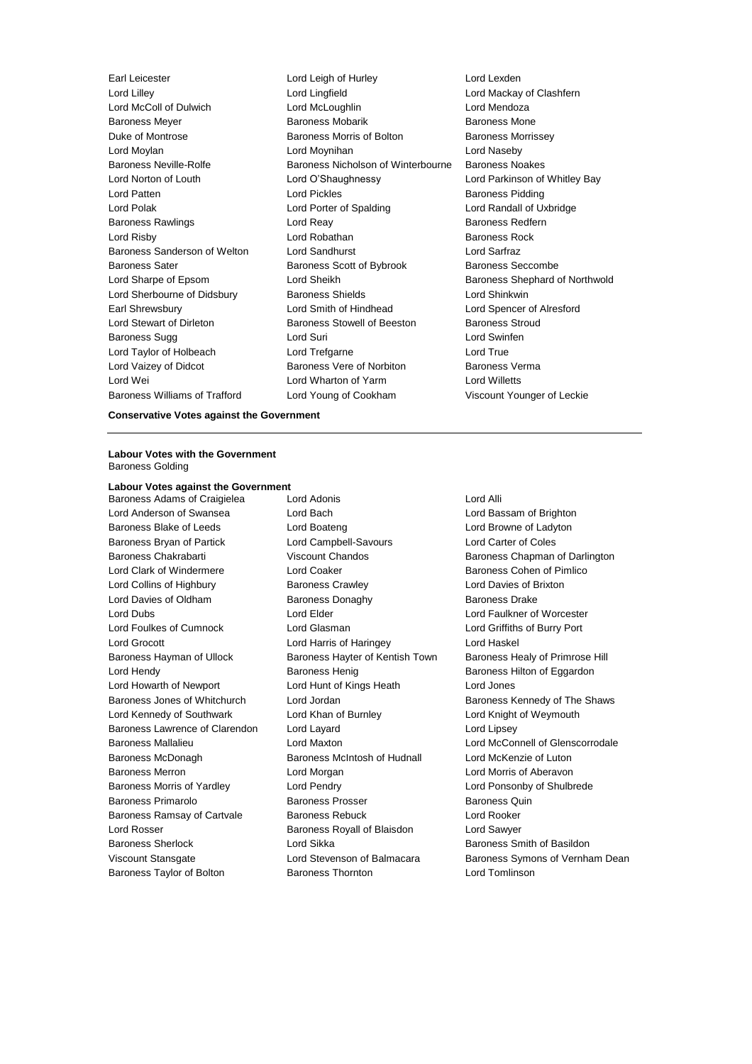Earl Leicester Lord Leigh of Hurley Lord Lexden Lord Lilley Lord Lingfield Lord Mackay of Clashfern Lord McColl of Dulwich Lord McLoughlin Lord Mendoza Baroness Meyer Baroness Mobarik Baroness Mone Duke of Montrose **Baroness Morris of Bolton** Baroness Morrissey Lord Moylan Lord Moynihan Lord Naseby Baroness Neville-Rolfe Baroness Nicholson of Winterbourne Baroness Noakes Lord Norton of Louth Lord O'Shaughnessy Lord Parkinson of Whitley Bay Lord Patten **Lord Pickles Lord Pickles Baroness Pidding** Lord Polak Lord Porter of Spalding Lord Randall of Uxbridge Baroness Rawlings **Lord Reay Lord Reay Baroness Redfern** Lord Risby **Lord Robathan** Baroness Rock **Lord Robathan** Baroness Rock Baroness Sanderson of Welton Lord Sandhurst Lord Sarfraz Baroness Sater **Baroness Scott of Bybrook** Baroness Seccombe Lord Sharpe of Epsom **Lord Sheikh** Baroness Shephard of Northwold Lord Sherbourne of Didsbury Baroness Shields **Lord Shinkwin** Earl Shrewsbury Lord Smith of Hindhead Lord Spencer of Alresford Lord Stewart of Dirleton Baroness Stowell of Beeston Baroness Stroud Baroness Sugg **Lord Suri Lord Suri Lord Swinten** Lord Swinfen Lord Taylor of Holbeach Lord Trefgarne Lord True Lord Vaizey of Didcot **Baroness Vere of Norbiton** Baroness Verma Lord Wei Lord Wharton of Yarm Lord Willetts Baroness Williams of Trafford Lord Young of Cookham Viscount Younger of Leckie

**Conservative Votes against the Government**

#### **Labour Votes with the Government** Baroness Golding

#### **Labour Votes against the Government**

Lord Anderson of Swansea Lord Bach Lord Bassam of Brighton Baroness Blake of Leeds Lord Boateng Lord Browne of Ladyton Baroness Bryan of Partick Lord Campbell-Savours Lord Carter of Coles Lord Clark of Windermere **Lord Coaker Communist Control** Baroness Cohen of Pimlico Lord Collins of Highbury Baroness Crawley Lord Davies of Brixton Lord Davies of Oldham Baroness Donaghy Baroness Davies Baroness Drake Lord Dubs Lord Elder Lord Faulkner of Worcester Lord Foulkes of Cumnock Lord Glasman Lord Griffiths of Burry Port Lord Grocott Lord Harris of Haringey Lord Haskel Baroness Hayman of Ullock Baroness Hayter of Kentish Town Baroness Healy of Primrose Hill Lord Hendy Baroness Henig Baroness Hilton of Eggardon Lord Howarth of Newport Lord Hunt of Kings Heath Lord Jones Lord Kennedy of Southwark Lord Khan of Burnley Lord Knight of Weymouth Baroness Lawrence of Clarendon Lord Layard Lord Lipsey Baroness McDonagh Baroness McIntosh of Hudnall Lord McKenzie of Luton Baroness Merron Lord Morgan Lord Morris of Aberavon Baroness Morris of Yardley Lord Pendry Lord Ponsonby of Shulbrede Baroness Primarolo **Baroness Prosser** Baroness Prosser Baroness Quin Baroness Ramsay of Cartvale Baroness Rebuck Lord Rooker Lord Rosser **Baroness Royall of Blaisdon** Lord Sawyer Baroness Sherlock **Lord Sikka** Baroness Smith of Basildon Baroness Taylor of Bolton Baroness Thornton Lord Tomlinson

Baroness Adams of Craigielea Lord Adonis Lord Annual Lord Alli

Baroness Chakrabarti **Viscount Chandos** Baroness Chapman of Darlington Baroness Jones of Whitchurch Lord Jordan Baroness Kennedy of The Shaws Baroness Mallalieu Lord Maxton Lord McConnell of Glenscorrodale Viscount Stansgate Lord Stevenson of Balmacara Baroness Symons of Vernham Dean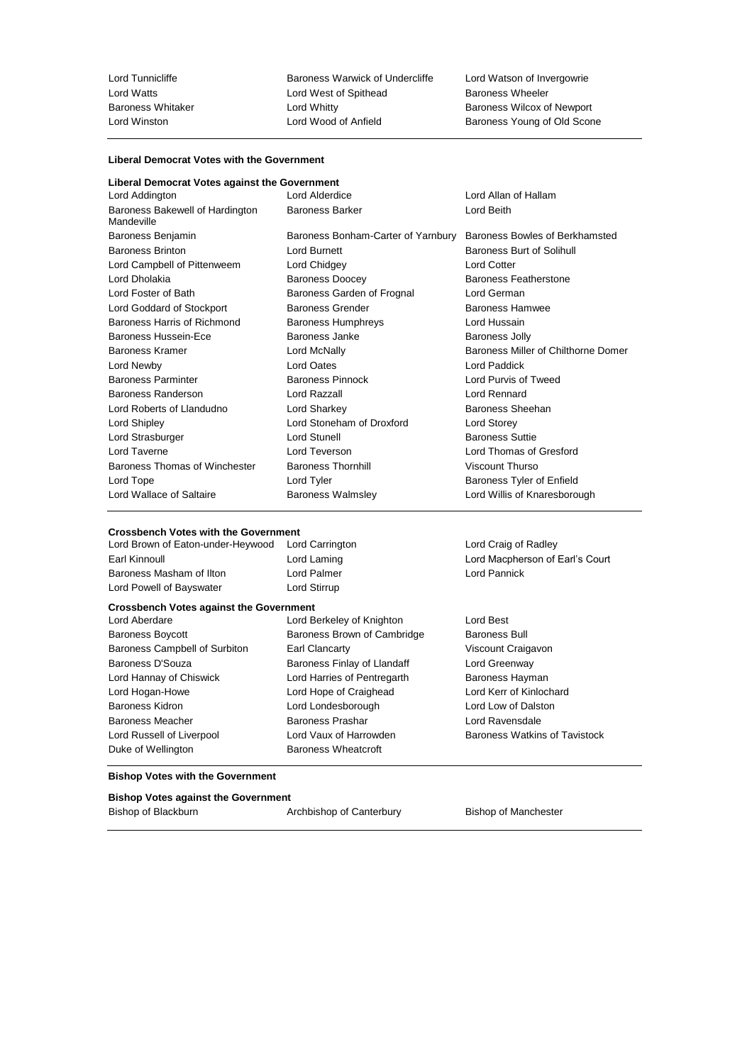Lord Watts Lord West of Spithead Baroness Wheeler Baroness Whitaker **Lord Whitty** Lord Whitty **Baroness Wilcox of Newport**<br>
Lord Wood of Anfield **Baroness Young of Old Scor** 

Lord Tunnicliffe **Baroness Warwick of Undercliffe** Lord Watson of Invergowrie Baroness Young of Old Scone

### **Liberal Democrat Votes with the Government**

### **Liberal Democrat Votes against the Government**

| Lord Addington                                | Lord Alderdice                                                    | Lord Allan of Hallam                |
|-----------------------------------------------|-------------------------------------------------------------------|-------------------------------------|
| Baroness Bakewell of Hardington<br>Mandeville | <b>Baroness Barker</b>                                            | Lord Beith                          |
| Baroness Benjamin                             | Baroness Bonham-Carter of Yarnbury Baroness Bowles of Berkhamsted |                                     |
| <b>Baroness Brinton</b>                       | Lord Burnett                                                      | Baroness Burt of Solihull           |
| Lord Campbell of Pittenweem                   | Lord Chidgey                                                      | <b>Lord Cotter</b>                  |
| Lord Dholakia                                 | <b>Baroness Doocey</b>                                            | Baroness Featherstone               |
| Lord Foster of Bath                           | Baroness Garden of Frognal                                        | Lord German                         |
| Lord Goddard of Stockport                     | <b>Baroness Grender</b>                                           | <b>Baroness Hamwee</b>              |
| Baroness Harris of Richmond                   | Baroness Humphreys                                                | Lord Hussain                        |
| Baroness Hussein-Ece                          | Baroness Janke                                                    | <b>Baroness Jolly</b>               |
| Baroness Kramer                               | Lord McNally                                                      | Baroness Miller of Chilthorne Domer |
| Lord Newby                                    | Lord Oates                                                        | Lord Paddick                        |
| Baroness Parminter                            | <b>Baroness Pinnock</b>                                           | Lord Purvis of Tweed                |
| Baroness Randerson                            | Lord Razzall                                                      | Lord Rennard                        |
| Lord Roberts of Llandudno                     | Lord Sharkey                                                      | <b>Baroness Sheehan</b>             |
| Lord Shipley                                  | Lord Stoneham of Droxford                                         | Lord Storey                         |
| Lord Strasburger                              | Lord Stunell                                                      | <b>Baroness Suttie</b>              |
| Lord Taverne                                  | Lord Teverson                                                     | Lord Thomas of Gresford             |
| Baroness Thomas of Winchester                 | <b>Baroness Thornhill</b>                                         | Viscount Thurso                     |
| Lord Tope                                     | Lord Tyler                                                        | Baroness Tyler of Enfield           |
| Lord Wallace of Saltaire                      | <b>Baroness Walmsley</b>                                          | Lord Willis of Knaresborough        |
|                                               |                                                                   |                                     |

#### **Crossbench Votes with the Government**

Lord Brown of Eaton-under-Heywood Lord Carrington **Lord Craig of Radley** Earl Kinnoull **Earl Lord Laming** Lord Lord Macpherson of Earl's Court Baroness Masham of Ilton **Lord Palmer** Lord Pannick Lord Pannick

Lord Powell of Bayswater **Lord Stirrup** 

#### **Crossbench Votes against the Government**

Baroness Boycott **Baroness Brown of Cambridge** Baroness Bull Baroness Campbell of Surbiton Earl Clancarty **Example 2018** Viscount Craigavon Baroness D'Souza **Baroness Finlay of Llandaff** Lord Greenway Lord Hannay of Chiswick **Lord Harries of Pentregarth** Baroness Hayman Lord Hogan-Howe Lord Hope of Craighead Lord Kerr of Kinlochard Baroness Kidron Lord Londesborough Lord Low of Dalston Baroness Meacher **Baroness Prashar Communist Prashar** Lord Ravensdale Lord Russell of Liverpool **Lord Vaux of Harrowden** Baroness Watkins of Tavistock Duke of Wellington **Baroness Wheatcroft** 

Lord Aberdare Lord Berkeley of Knighton Lord Best

#### **Bishop Votes with the Government**

**Bishop Votes against the Government**

Bishop of Blackburn Archbishop of Canterbury Bishop of Manchester